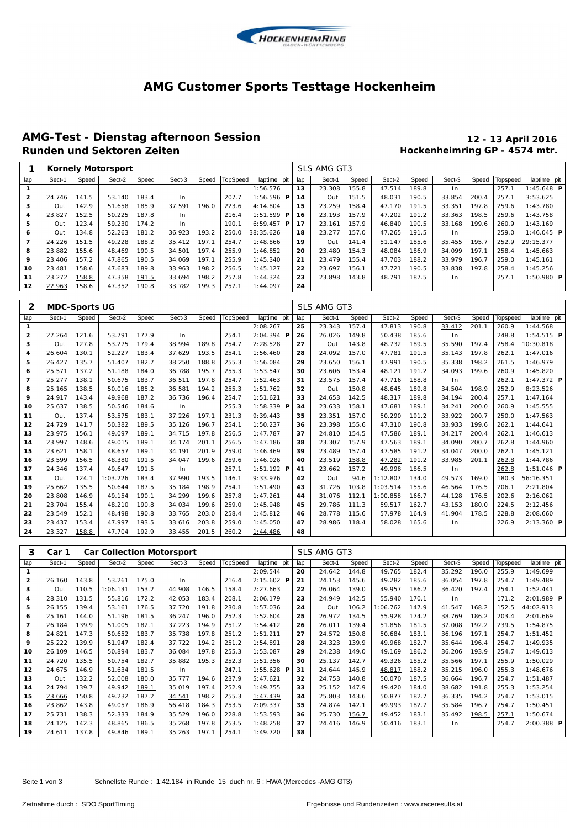

#### **AMG Customer Sports Testtage Hockenheim**

# **AMG-Test - Dienstag afternoon Session 12 - 13 April 2016**

## **Hockenheimring GP - 4574 mtr.**

|                | Kornely Motorsport |       |        |       |        |       |          |                     |     | SLS AMG GT3 |       |        |       |        |       |          |              |  |  |
|----------------|--------------------|-------|--------|-------|--------|-------|----------|---------------------|-----|-------------|-------|--------|-------|--------|-------|----------|--------------|--|--|
| lap            | Sect-1             | Speed | Sect-2 | Speed | Sect-3 | Speed | TopSpeed | laptime pit         | lap | Sect-1      | Speed | Sect-2 | Speed | Sect-3 | Speed | Topspeed | laptime pit  |  |  |
|                |                    |       |        |       |        |       |          | 1:56.576            | 13  | 23.308      | 155.8 | 47.514 | 189.8 | ln     |       | 257.1    | $1:45.648$ P |  |  |
| $\overline{2}$ | 24.746             | 141.5 | 53.140 | 183.4 | In.    |       | 207.7    | $1:56.596$ <b>P</b> | 14  | Out         | 151.5 | 48.031 | 190.5 | 33.854 | 200.4 | 257.1    | 3:53.625     |  |  |
| 3              | Out                | 142.9 | 51.658 | 185.9 | 37.591 | 196.0 | 223.6    | 4:14.804            | 15  | 23.259      | 158.4 | 47.170 | 191.5 | 33.351 | 197.8 | 259.6    | 1:43.780     |  |  |
| 4              | 23.827             | 152.5 | 50.225 | 187.8 | In.    |       | 216.4    | 1:51.599<br>P       | -16 | 23.193      | 157.9 | 47.202 | 191.2 | 33.363 | 198.5 | 259.6    | 1:43.758     |  |  |
| 5              | Out                | 123.4 | 59.230 | 174.2 | In.    |       | 190.1    | $6:59.457$ <b>P</b> | 17  | 23.161      | 157.9 | 46.840 | 190.5 | 33.168 | 199.6 | 260.9    | 1:43.169     |  |  |
| 6              | Out                | 134.8 | 52.263 | 181.2 | 36.923 | 193.2 | 250.0    | 38: 35.626          | 18  | 23.277      | 157.0 | 47.265 | 191.5 | In.    |       | 259.0    | 1:46.045 $P$ |  |  |
| 7              | 24.226             | 151.5 | 49.228 | 188.2 | 35.412 | 197.1 | 254.7    | 1:48.866            | 19  | Out         | 141.4 | 51.147 | 185.6 | 35.455 | 195.7 | 252.9    | 29:15.377    |  |  |
| 8              | 23.882             | 155.6 | 48.469 | 190.5 | 34.501 | 197.4 | 255.9    | 1:46.852            | 20  | 23.480      | 154.3 | 48.084 | 186.9 | 34.099 | 197.1 | 258.4    | 1:45.663     |  |  |
| 9              | 23.406             | 157.2 | 47.865 | 190.5 | 34.069 | 197.1 | 255.9    | 1:45.340            | 21  | 23.479      | 155.4 | 47.703 | 188.2 | 33.979 | 196.7 | 259.0    | 1:45.161     |  |  |
| 10             | 23.481             | 158.6 | 47.683 | 189.8 | 33.963 | 198.2 | 256.5    | 1:45.127            | 22  | 23.697      | 156.1 | 47.721 | 190.5 | 33.838 | 197.8 | 258.4    | 1:45.256     |  |  |
| 11             | 23.272             | 158.8 | 47.358 | 191.5 | 33.694 | 198.2 | 257.8    | 1: 44.324           | 23  | 23.898      | 143.8 | 48.791 | 187.5 | In.    |       | 257.1    | 1:50.980 $P$ |  |  |
| 12             | 22.963             | 158.6 | 47.352 | 190.8 | 33.782 | 199.3 | 257.1    | 1:44.097            | 24  |             |       |        |       |        |       |          |              |  |  |

| 2              |        | MDC-Sports UG |          |       |                |       |          |                     |  |     | SLS AMG GT3 |       |          |       |        |       |          |                     |
|----------------|--------|---------------|----------|-------|----------------|-------|----------|---------------------|--|-----|-------------|-------|----------|-------|--------|-------|----------|---------------------|
| lap            | Sect-1 | Speed         | Sect-2   | Speed | Sect-3         | Speed | TopSpeed | laptime pit         |  | lap | Sect-1      | Speed | Sect-2   | Speed | Sect-3 | Speed | Topspeed | laptime pit         |
| $\mathbf{1}$   |        |               |          |       |                |       |          | 2:08.267            |  | 25  | 23.343      | 157.4 | 47.813   | 190.8 | 33.412 | 201.1 | 260.9    | 1:44.568            |
| $\mathbf{2}$   | 27.264 | 121.6         | 53.791   | 177.9 | In             |       | 254.1    | $2:04.394$ <b>P</b> |  | 26  | 26.026      | 149.8 | 50.438   | 185.6 | In     |       | 248.8    | $1:54.515$ <b>P</b> |
| 3              | Out    | 127.8         | 53.275   | 179.4 | 38.994         | 189.8 | 254.7    | 2:28.528            |  | 27  | Out         | 143.8 | 48.732   | 189.5 | 35.590 | 197.4 | 258.4    | 10:30.818           |
| 4              | 26.604 | 130.1         | 52.227   | 183.4 | 37.629         | 193.5 | 254.1    | 1:56.460            |  | 28  | 24.092      | 157.0 | 47.781   | 191.5 | 35.143 | 197.8 | 262.1    | 1:47.016            |
| 5              | 26.427 | 135.7         | 51.407   | 182.7 | 38.250         | 188.8 | 255.3    | 1:56.084            |  | 29  | 23.650      | 156.1 | 47.991   | 190.5 | 35.338 | 198.2 | 261.5    | 1:46.979            |
| 6              | 25.571 | 137.2         | 51.188   | 184.0 | 36.788         | 195.7 | 255.3    | 1:53.547            |  | 30  | 23.606      | 153.4 | 48.121   | 191.2 | 34.093 | 199.6 | 260.9    | 1:45.820            |
| $\overline{7}$ | 25.277 | 138.1         | 50.675   | 183.7 | 36.511         | 197.8 | 254.7    | 1:52.463            |  | 31  | 23.575      | 157.4 | 47.716   | 188.8 | In     |       | 262.1    | $1:47.372$ <b>P</b> |
| 8              | 25.165 | 138.5         | 50.016   | 185.2 | 36.581         | 194.2 | 255.3    | 1:51.762            |  | 32  | Out         | 150.8 | 48.645   | 189.8 | 34.504 | 198.9 | 252.9    | 8:23.526            |
| 9              | 24.917 | 143.4         | 49.968   | 187.2 | 36.736         | 196.4 | 254.7    | 1:51.621            |  | 33  | 24.653      | 142.5 | 48.317   | 189.8 | 34.194 | 200.4 | 257.1    | 1:47.164            |
| 10             | 25.637 | 138.5         | 50.546   | 184.6 | In             |       | 255.3    | $1:58.339$ <b>P</b> |  | 34  | 23.633      | 158.1 | 47.681   | 189.1 | 34.241 | 200.0 | 260.9    | 1:45.555            |
| 11             | Out    | 137.4         | 53.575   | 183.1 | 37.226         | 197.1 | 231.3    | 9:39.443            |  | 35  | 23.351      | 157.0 | 50.290   | 191.2 | 33.922 | 200.7 | 250.0    | 1:47.563            |
| 12             | 24.729 | 141.7         | 50.382   | 189.5 | 35.126         | 196.7 | 254.1    | 1:50.237            |  | 36  | 23.398      | 155.6 | 47.310   | 190.8 | 33.933 | 199.6 | 262.1    | 1:44.641            |
| 13             | 23.975 | 156.1         | 49.097   | 189.1 | 34.715         | 197.8 | 256.5    | 1:47.787            |  | 37  | 24.810      | 154.5 | 47.586   | 189.1 | 34.217 | 200.4 | 262.1    | 1:46.613            |
| 14             | 23.997 | 148.6         | 49.015   | 189.1 | 34.174         | 201.1 | 256.5    | 1:47.186            |  | 38  | 23.307      | 157.9 | 47.563   | 189.1 | 34.090 | 200.7 | 262.8    | 1:44.960            |
| 15             | 23.621 | 158.1         | 48.657   | 189.1 | 34.191         | 201.9 | 259.0    | 1:46.469            |  | 39  | 23.489      | 157.4 | 47.585   | 191.2 | 34.047 | 200.0 | 262.1    | 1:45.121            |
| 16             | 23.599 | 156.5         | 48.380   | 191.5 | 34.047         | 199.6 | 259.6    | 1:46.026            |  | 40  | 23.519      | 158.8 | 47.282   | 191.2 | 33.985 | 201.1 | 262.8    | 1:44.786            |
| 17             | 24.346 | 137.4         | 49.647   | 191.5 | 1 <sub>n</sub> |       | 257.1    | 1:51.192 <b>P</b>   |  | 41  | 23.662      | 157.2 | 49.998   | 186.5 | ln     |       | 262.8    | $1:51.046$ <b>P</b> |
| 18             | Out    | 124.1         | 1:03.226 | 183.4 | 37.990         | 193.5 | 146.1    | 9:33.976            |  | 42  | Out         | 94.6  | 1:12.807 | 134.0 | 49.573 | 169.0 | 180.3    | 56:16.351           |
| 19             | 25.662 | 135.5         | 50.644   | 187.5 | 35.184         | 198.9 | 254.1    | 1:51.490            |  | 43  | 31.726      | 103.8 | 1:03.514 | 155.6 | 46.564 | 176.5 | 206.1    | 2:21.804            |
| 20             | 23.808 | 146.9         | 49.154   | 190.1 | 34.299         | 199.6 | 257.8    | 1:47.261            |  | 44  | 31.076      | 112.1 | 1:00.858 | 166.7 | 44.128 | 176.5 | 202.6    | 2:16.062            |
| 21             | 23.704 | 155.4         | 48.210   | 190.8 | 34.034         | 199.6 | 259.0    | 1:45.948            |  | 45  | 29.786      | 111.3 | 59.517   | 162.7 | 43.153 | 180.0 | 224.5    | 2:12.456            |
| 22             | 23.549 | 152.1         | 48.498   | 190.8 | 33.765         | 203.0 | 258.4    | 1:45.812            |  | 46  | 28.778      | 115.6 | 57.978   | 164.9 | 41.904 | 178.5 | 228.8    | 2:08.660            |
| 23             | 23.437 | 153.4         | 47.997   | 193.5 | 33.616         | 203.8 | 259.0    | 1:45.050            |  | 47  | 28.986      | 118.4 | 58.028   | 165.6 | In     |       | 226.9    | $2:13.360$ <b>P</b> |
| 24             | 23.327 | 158.8         | 47.704   | 192.9 | 33.455         | 201.5 | 260.2    | 1:44.486            |  | 48  |             |       |          |       |        |       |          |                     |

| З              | Car 1<br><b>Car Collection Motorsport</b> |       |          |       |        |       |                 |                     | SLS AMG GT3 |        |       |         |       |        |       |          |                     |
|----------------|-------------------------------------------|-------|----------|-------|--------|-------|-----------------|---------------------|-------------|--------|-------|---------|-------|--------|-------|----------|---------------------|
| lap            | Sect-1                                    | Speed | Sect-2   | Speed | Sect-3 | Speed | <b>TopSpeed</b> | laptime pit         | lap         | Sect-1 | Speed | Sect-2  | Speed | Sect-3 | Speed | Topspeed | laptime pit         |
| $\mathbf{1}$   |                                           |       |          |       |        |       |                 | 2:09.544            | 20          | 24.642 | 144.8 | 49.765  | 182.4 | 35.292 | 196.0 | 255.9    | 1:49.699            |
| $\mathbf{2}$   | 26.160                                    | 143.8 | 53.261   | 175.0 | In.    |       | 216.4           | $2:15.602$ <b>P</b> | 21          | 24.153 | 145.6 | 49.282  | 185.6 | 36.054 | 197.8 | 254.7    | 1:49.489            |
| 3              | Out                                       | 110.5 | : 06.131 | 153.2 | 44.908 | 146.5 | 158.4           | 7:27.663            | 22          | 26.064 | 139.0 | 49.957  | 186.2 | 36.420 | 197.4 | 254.1    | 1:52.441            |
| 4              | 28.310                                    | 131.5 | 55.816   | 172.2 | 42.053 | 183.4 | 208.1           | 2:06.179            | 23          | 24.949 | 142.5 | 55.940  | 170.1 | $\ln$  |       | 171.2    | $2:01.989$ <b>P</b> |
| 5              | 26.155                                    | 139.4 | 53.161   | 176.5 | 37.720 | 191.8 | 230.8           | 1:57.036            | 24          | Out    | 106.2 | :06.762 | 147.9 | 41.547 | 168.2 | 152.5    | 44:02.913           |
| 6              | 25.161                                    | 144.0 | 51.196   | 181.5 | 36.247 | 196.0 | 252.3           | 1:52.604            | 25          | 26.972 | 134.5 | 55.928  | 174.2 | 38.769 | 186.2 | 203.4    | 2:01.669            |
| $\overline{7}$ | 26.184                                    | 139.9 | 51.005   | 182.1 | 37.223 | 194.9 | 251.2           | 1:54.412            | 26          | 26.011 | 139.4 | 51.856  | 181.5 | 37.008 | 192.2 | 239.5    | 1:54.875            |
| 8              | 24.821                                    | 147.3 | 50.652   | 183.7 | 35.738 | 197.8 | 251.2           | 1:51.211            | 27          | 24.572 | 150.8 | 50.684  | 183.1 | 36.196 | 197.1 | 254.7    | 1:51.452            |
| 9              | 25.222                                    | 139.9 | 51.947   | 182.4 | 37.722 | 194.2 | 251.2           | 1:54.891            | 28          | 24.323 | 139.9 | 49.968  | 182.7 | 35.644 | 196.4 | 254.7    | 1:49.935            |
| 10             | 26.109                                    | 146.5 | 50.894   | 183.7 | 36.084 | 197.8 | 255.3           | 1:53.087            | 29          | 24.238 | 149.0 | 49.169  | 186.2 | 36.206 | 193.9 | 254.7    | 1:49.613            |
| 11             | 24.720                                    | 135.5 | 50.754   | 182.7 | 35.882 | 195.3 | 252.3           | 1:51.356            | 30          | 25.137 | 142.7 | 49.326  | 185.2 | 35.566 | 197.1 | 255.9    | 1:50.029            |
| 12             | 24.675                                    | 146.9 | 51.634   | 181.5 | In.    |       | 247.1           | $1:55.628$ P        | 31          | 24.644 | 145.9 | 48.817  | 188.2 | 35.215 | 196.0 | 255.3    | 1:48.676            |
| 13             | Out                                       | 132.2 | 52.008   | 180.0 | 35.777 | 194.6 | 237.9           | 5: 47.621           | 32          | 24.753 | 140.8 | 50.070  | 187.5 | 36.664 | 196.7 | 254.7    | 1:51.487            |
| 14             | 24.794                                    | 139.7 | 49.942   | 189.1 | 35.019 | 197.4 | 252.9           | 1:49.755            | 33          | 25.152 | 147.9 | 49.420  | 184.0 | 38.682 | 191.8 | 255.3    | 1:53.254            |
| 15             | 23.666                                    | 150.8 | 49.232   | 187.2 | 34.541 | 198.2 | 255.3           | 1:47.439            | 34          | 25.803 | 143.6 | 50.877  | 182.7 | 36.335 | 194.2 | 254.7    | 1:53.015            |
| 16             | 23.862                                    | 143.8 | 49.057   | 186.9 | 56.418 | 184.3 | 253.5           | 2:09.337            | 35          | 24.874 | 142.1 | 49.993  | 182.7 | 35.584 | 196.7 | 254.7    | 1:50.451            |
| 17             | 25.731                                    | 138.3 | 52.333   | 184.9 | 35.529 | 196.0 | 228.8           | 1:53.593            | 36          | 25.730 | 156.7 | 49.452  | 183.1 | 35.492 | 198.5 | 257.1    | 1:50.674            |
| 18             | 24.125                                    | 142.3 | 48.865   | 186.5 | 35.268 | 197.8 | 253.5           | 1:48.258            | 37          | 24.416 | 146.9 | 50.416  | 183.1 | ln     |       | 254.7    | $2:00.388$ P        |
| 19             | 24.611                                    | 137.8 | 49.846   | 189.1 | 35.263 | 197.1 | 254.1           | 1:49.720            | 38          |        |       |         |       |        |       |          |                     |

Seite 1 von 3 Schnellste Runde : 1:42.184 in Runde 15 duch nr. 6 : HWA (Mercedes -AMG GT3)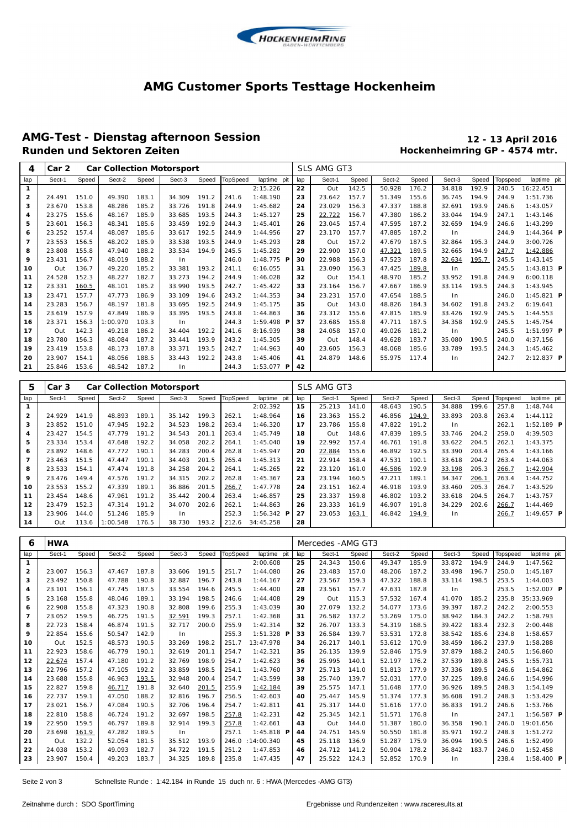

#### **AMG Customer Sports Testtage Hockenheim**

# **AMG-Test - Dienstag afternoon Session 12 - 13 April 2016**

### **Hockenheimring GP - 4574 mtr.**

| 4              | Car 2<br><b>Car Collection Motorsport</b> |       |          |       |        |       |                 |              |     | SLS AMG GT3 |       |        |       |        |       |          |                     |
|----------------|-------------------------------------------|-------|----------|-------|--------|-------|-----------------|--------------|-----|-------------|-------|--------|-------|--------|-------|----------|---------------------|
| lap            | Sect-1                                    | Speed | Sect-2   | Speed | Sect-3 | Speed | <b>TopSpeed</b> | laptime pit  | lap | Sect-1      | Speed | Sect-2 | Speed | Sect-3 | Speed | Topspeed | laptime pit         |
| 1              |                                           |       |          |       |        |       |                 | 2:15.226     | 22  | Out         | 142.5 | 50.928 | 176.2 | 34.818 | 192.9 | 240.5    | 16:22.451           |
| $\mathbf{2}$   | 24.491                                    | 151.0 | 49.390   | 183.1 | 34.309 | 191.2 | 241.6           | 1:48.190     | 23  | 23.642      | 157.7 | 51.349 | 155.6 | 36.745 | 194.9 | 244.9    | 1:51.736            |
| 3              | 23.670                                    | 153.8 | 48.286   | 185.2 | 33.726 | 191.8 | 244.9           | 1:45.682     | 24  | 23.029      | 156.3 | 47.337 | 188.8 | 32.691 | 193.9 | 246.6    | 1:43.057            |
| 4              | 23.275                                    | 155.6 | 48.167   | 185.9 | 33.685 | 193.5 | 244.3           | 1:45.127     | 25  | 22.722      | 156.7 | 47.380 | 186.2 | 33.044 | 194.9 | 247.1    | 1:43.146            |
| 5              | 23.601                                    | 156.3 | 48.341   | 185.6 | 33.459 | 192.9 | 244.3           | 1:45.401     | 26  | 23.045      | 157.4 | 47.595 | 187.2 | 32.659 | 194.9 | 246.6    | 1:43.299            |
| 6              | 23.252                                    | 157.4 | 48.087   | 185.6 | 33.617 | 192.5 | 244.9           | 1:44.956     | 27  | 23.170      | 157.7 | 47.885 | 187.2 | ln     |       | 244.9    | $1:44.364$ <b>P</b> |
| $\overline{7}$ | 23.553                                    | 156.5 | 48.202   | 185.9 | 33.538 | 193.5 | 244.9           | 1:45.293     | 28  | Out         | 157.2 | 47.679 | 187.5 | 32.864 | 195.3 | 244.9    | 3:00.726            |
| 8              | 23.808                                    | 155.8 | 47.940   | 188.2 | 33.534 | 194.9 | 245.5           | 1:45.282     | 29  | 22.900      | 157.0 | 47.321 | 189.5 | 32.665 | 194.9 | 247.7    | 1:42.886            |
| 9              | 23.431                                    | 156.7 | 48.019   | 188.2 | In.    |       | 246.0           | 1:48.775 $P$ | 30  | 22.988      | 156.3 | 47.523 | 187.8 | 32.634 | 195.7 | 245.5    | 1:43.145            |
| 10             | Out                                       | 136.7 | 49.220   | 185.2 | 33.381 | 193.2 | 241.1           | 6:16.055     | 31  | 23.090      | 156.3 | 47.425 | 189.8 | In     |       | 245.5    | 1:43.813 $P$        |
| 11             | 24.528                                    | 152.3 | 48.227   | 182.7 | 33.273 | 194.2 | 244.9           | 1:46.028     | 32  | Out         | 154.1 | 48.970 | 185.2 | 33.952 | 191.8 | 244.9    | 6:00.118            |
| 12             | 23.331                                    | 160.5 | 48.101   | 185.2 | 33.990 | 193.5 | 242.7           | 1:45.422     | 33  | 23.164      | 156.7 | 47.667 | 186.9 | 33.114 | 193.5 | 244.3    | 1:43.945            |
| 13             | 23.471                                    | 157.7 | 47.773   | 186.9 | 33.109 | 194.6 | 243.2           | 1:44.353     | 34  | 23.231      | 157.0 | 47.654 | 188.5 | ln     |       | 246.0    | $1:45.821$ <b>P</b> |
| 14             | 23.283                                    | 156.7 | 48.197   | 181.8 | 33.695 | 192.5 | 244.9           | 1:45.175     | 35  | Out         | 143.0 | 48.826 | 184.3 | 34.602 | 191.8 | 243.2    | 6:19.641            |
| 15             | 23.619                                    | 157.9 | 47.849   | 186.9 | 33.395 | 193.5 | 243.8           | 1:44.863     | 36  | 23.312      | 155.6 | 47.815 | 185.9 | 33.426 | 192.9 | 245.5    | 1:44.553            |
| 16             | 23.371                                    | 156.3 | 1:00.970 | 103.3 | In.    |       | 244.3           | $1:59.498$ P | 37  | 23.685      | 155.8 | 47.711 | 187.5 | 34.358 | 192.9 | 245.5    | 1:45.754            |
| 17             | Out                                       | 142.3 | 49.218   | 186.2 | 34.404 | 192.2 | 241.6           | 8:16.939     | 38  | 24.058      | 157.0 | 49.026 | 181.2 | $\ln$  |       | 245.5    | 1:51.997 <b>P</b>   |
| 18             | 23.780                                    | 156.3 | 48.084   | 187.2 | 33.441 | 193.9 | 243.2           | 1:45.305     | 39  | Out         | 148.4 | 49.628 | 183.7 | 35.080 | 190.5 | 240.0    | 4:37.156            |
| 19             | 23.419                                    | 153.8 | 48.173   | 187.8 | 33.371 | 193.5 | 242.7           | 1:44.963     | 40  | 23.605      | 156.3 | 48.068 | 185.6 | 33.789 | 193.5 | 244.3    | 1:45.462            |
| 20             | 23.907                                    | 154.1 | 48.056   | 188.5 | 33.443 | 192.2 | 243.8           | 1:45.406     | 41  | 24.879      | 148.6 | 55.975 | 117.4 | In     |       | 242.7    | $2:12.837$ <b>P</b> |
| 21             | 25.846                                    | 153.6 | 48.542   | 187.2 | In     |       | 244.3           | $1:53.077$ P | 42  |             |       |        |       |        |       |          |                     |

| 5              | Car <sub>3</sub> | <b>Car Collection Motorsport</b> |          |       |        |       |          |                   |     | SLS AMG GT3 |       |        |       |        |       |          |                   |
|----------------|------------------|----------------------------------|----------|-------|--------|-------|----------|-------------------|-----|-------------|-------|--------|-------|--------|-------|----------|-------------------|
| lap            | Sect-1           | Speed                            | Sect-2   | Speed | Sect-3 | Speed | TopSpeed | laptime pit       | lap | Sect-1      | Speed | Sect-2 | Speed | Sect-3 | Speed | Topspeed | laptime pit       |
|                |                  |                                  |          |       |        |       |          | 2:02.392          | 15  | 25.213      | 141.0 | 48.643 | 190.5 | 34.888 | 199.6 | 257.8    | 1:48.744          |
| $\overline{2}$ | 24.929           | 141.9                            | 48.893   | 189.1 | 35.142 | 199.3 | 262.1    | 1:48.964          | 16  | 23.363      | 155.2 | 46.856 | 194.9 | 33.893 | 203.8 | 263.4    | 1:44.112          |
| 3              | 23.852           | 151.0                            | 47.945   | 192.2 | 34.523 | 198.2 | 263.4    | 1:46.320          | 17  | 23.786      | 155.8 | 47.822 | 191.2 | In.    |       | 262.1    | $1:52.189$ P      |
| 4              | 23.427           | 154.5                            | 47.779   | 191.2 | 34.543 | 201.1 | 263.4    | 1:45.749          | 18  | Out         | 148.6 | 47.839 | 189.5 | 33.746 | 204.2 | 259.0    | 4:39.503          |
| 5              | 23.334           | 153.4                            | 47.648   | 192.2 | 34.058 | 202.2 | 264.1    | 1:45.040          | 19  | 22.992      | 157.4 | 46.761 | 191.8 | 33.622 | 204.5 | 262.1    | 1:43.375          |
| 6              | 23.892           | 148.6                            | 47.772   | 190.1 | 34.283 | 200.4 | 262.8    | 1:45.947          | 20  | 22.884      | 155.6 | 46.892 | 192.5 | 33.390 | 203.4 | 265.4    | 1:43.166          |
| $\overline{7}$ | 23.463           | 151.5                            | 47.447   | 190.1 | 34.403 | 201.5 | 265.4    | 1:45.313          | 21  | 22.914      | 158.4 | 47.531 | 190.1 | 33.618 | 204.2 | 263.4    | 1:44.063          |
| 8              | 23.533           | 154.1                            | 47.474   | 191.8 | 34.258 | 204.2 | 264.1    | 1:45.265          | 22  | 23.120      | 161.0 | 46.586 | 192.9 | 33.198 | 205.3 | 266.7    | 1:42.904          |
| 9              | 23.476           | 149.4                            | 47.576   | 191.2 | 34.315 | 202.2 | 262.8    | 1:45.367          | 23  | 23.194      | 160.5 | 47.211 | 189.1 | 34.347 | 206.1 | 263.4    | 1:44.752          |
| 10             | 23.553           | 155.2                            | 47.339   | 189.1 | 36.886 | 201.5 | 266.7    | 1:47.778          | 24  | 23.151      | 162.4 | 46.918 | 193.9 | 33.460 | 205.3 | 264.7    | 1:43.529          |
| 11             | 23.454           | 148.6                            | 47.961   | 191.2 | 35.442 | 200.4 | 263.4    | 1:46.857          | 25  | 23.337      | 159.8 | 46.802 | 193.2 | 33.618 | 204.5 | 264.7    | 1:43.757          |
| 12             | 23.479           | 152.3                            | 47.314   | 191.2 | 34.070 | 202.6 | 262.1    | 1:44.863          | 26  | 23.333      | 161.9 | 46.907 | 191.8 | 34.229 | 202.6 | 266.7    | 1:44.469          |
| 13             | 23.906           | 144.0                            | 51.246   | 185.9 | ln.    |       | 252.3    | 1:56.342 <b>P</b> | 27  | 23.053      | 163.1 | 46.842 | 194.9 | ln     |       | 266.7    | 1:49.657 <b>P</b> |
| 14             | Out              | 113.6                            | 1:00.548 | 176.5 | 38.730 | 193.2 | 212.6    | 34:45.258         | 28  |             |       |        |       |        |       |          |                   |

| 6              | <b>HWA</b> |       |        |       |        |       |                 |                     | Mercedes - AMG GT3 |        |       |        |       |        |       |          |                     |
|----------------|------------|-------|--------|-------|--------|-------|-----------------|---------------------|--------------------|--------|-------|--------|-------|--------|-------|----------|---------------------|
| lap            | Sect-1     | Speed | Sect-2 | Speed | Sect-3 | Speed | <b>TopSpeed</b> | laptime pit         | lap                | Sect-1 | Speed | Sect-2 | Speed | Sect-3 | Speed | Topspeed | laptime pit         |
| $\mathbf{1}$   |            |       |        |       |        |       |                 | 2:00.608            | 25                 | 24.343 | 150.6 | 49.347 | 185.9 | 33.872 | 194.9 | 244.9    | 1:47.562            |
| 2              | 23.007     | 156.3 | 47.467 | 187.8 | 33.606 | 191.5 | 251.7           | 1:44.080            | 26                 | 23.483 | 157.0 | 48.206 | 187.2 | 33.498 | 196.7 | 250.0    | 1:45.187            |
| з              | 23.492     | 150.8 | 47.788 | 190.8 | 32.887 | 196.7 | 243.8           | 1: 44.167           | 27                 | 23.567 | 159.3 | 47.322 | 188.8 | 33.114 | 198.5 | 253.5    | 1:44.003            |
| 4              | 23.101     | 156.1 | 47.745 | 187.5 | 33.554 | 194.6 | 245.5           | 1:44.400            | 28                 | 23.561 | 157.7 | 47.631 | 187.8 | $\ln$  |       | 253.5    | $1:52.007$ P        |
| 5              | 23.168     | 155.8 | 48.046 | 189.1 | 33.194 | 198.5 | 246.6           | 1:44.408            | 29                 | Out    | 115.3 | 57.532 | 167.4 | 41.070 | 185.2 | 235.8    | 35:33.969           |
| 6              | 22.908     | 155.8 | 47.323 | 190.8 | 32.808 | 199.6 | 255.3           | 1:43.039            | 30                 | 27.079 | 132.2 | 54.077 | 173.6 | 39.397 | 187.2 | 242.2    | 2:00.553            |
| $\overline{7}$ | 23.052     | 159.5 | 46.725 | 191.5 | 32.591 | 199.3 | 257.1           | 1:42.368            | 31                 | 26.582 | 137.2 | 53.269 | 175.0 | 38.942 | 184.3 | 242.2    | 1:58.793            |
| 8              | 22.723     | 158.4 | 46.874 | 191.5 | 32.717 | 200.0 | 255.9           | 1:42.314            | 32                 | 26.707 | 133.3 | 54.319 | 168.5 | 39.422 | 183.4 | 232.3    | 2:00.448            |
| 9              | 22.854     | 155.6 | 50.547 | 142.9 | ln     |       | 255.3           | $1:51.328$ <b>P</b> | 33                 | 26.584 | 139.7 | 53.531 | 172.8 | 38.542 | 185.6 | 234.8    | 1:58.657            |
| 10             | Out        | 152.5 | 48.573 | 190.5 | 33.269 | 198.2 | 251.7           | 13:47.978           | 34                 | 26.217 | 140.1 | 53.612 | 170.9 | 38.459 | 186.2 | 237.9    | 1:58.288            |
| 11             | 22.923     | 158.6 | 46.779 | 190.1 | 32.619 | 201.1 | 254.7           | 1:42.321            | 35                 | 26.135 | 139.9 | 52.846 | 175.9 | 37.879 | 188.2 | 240.5    | 1:56.860            |
| 12             | 22.674     | 157.4 | 47.180 | 191.2 | 32.769 | 198.9 | 254.7           | 1:42.623            | 36                 | 25.995 | 140.1 | 52.197 | 176.2 | 37.539 | 189.8 | 245.5    | 1:55.731            |
| 13             | 22.796     | 157.2 | 47.105 | 192.2 | 33.859 | 198.5 | 254.1           | 1:43.760            | 37                 | 25.713 | 141.0 | 51.813 | 177.9 | 37.336 | 189.5 | 246.6    | 1:54.862            |
| 14             | 23.688     | 155.8 | 46.963 | 193.5 | 32.948 | 200.4 | 254.7           | 1:43.599            | 38                 | 25.740 | 139.7 | 52.031 | 177.0 | 37.225 | 189.8 | 246.6    | 1:54.996            |
| 15             | 22.827     | 159.8 | 46.717 | 191.8 | 32.640 | 201.5 | 255.9           | 1:42.184            | 39                 | 25.575 | 147.1 | 51.648 | 177.0 | 36.926 | 189.5 | 248.3    | 1:54.149            |
| 16             | 22.737     | 159.1 | 47.050 | 188.2 | 32.816 | 196.7 | 256.5           | 1:42.603            | 40                 | 25.447 | 145.9 | 51.374 | 177.3 | 36.608 | 191.2 | 248.3    | 1:53.429            |
| 17             | 23.021     | 156.7 | 47.084 | 190.5 | 32.706 | 196.4 | 254.7           | 1:42.811            | 41                 | 25.317 | 144.0 | 51.616 | 177.0 | 36.833 | 191.2 | 246.6    | 1:53.766            |
| 18             | 22.810     | 158.8 | 46.724 | 191.2 | 32.697 | 198.5 | 257.8           | 1:42.231            | 42                 | 25.345 | 142.1 | 51.571 | 176.8 | ln     |       | 247.1    | $1:56.587$ <b>P</b> |
| 19             | 22.950     | 159.5 | 46.797 | 189.8 | 32.914 | 199.3 | 257.8           | 1:42.661            | 43                 | Out    | 144.0 | 51.387 | 180.0 | 36.358 | 190.1 | 246.0    | 19:01.656           |
| 20             | 23.698     | 161.9 | 47.282 | 189.5 | $\ln$  |       | 257.1           | 1:45.818 $P$        | 44                 | 24.751 | 145.9 | 50.550 | 181.8 | 35.971 | 192.2 | 248.3    | 1:51.272            |
| 21             | Out        | 132.2 | 52.054 | 181.5 | 35.512 | 193.9 | 246.0           | : 14:00.340         | 45                 | 25.118 | 136.9 | 51.287 | 175.9 | 36.094 | 190.5 | 246.6    | 1:52.499            |
| 22             | 24.038     | 153.2 | 49.093 | 182.7 | 34.722 | 191.5 | 251.2           | 1:47.853            | 46                 | 24.712 | 141.2 | 50.904 | 178.2 | 36.842 | 183.7 | 246.0    | 1:52.458            |
| 23             | 23.907     | 150.4 | 49.203 | 183.7 | 34.325 | 189.8 | 235.8           | 1:47.435            | 47                 | 25.522 | 124.3 | 52.852 | 170.9 | $\ln$  |       | 238.4    | 1:58.400 $P$        |